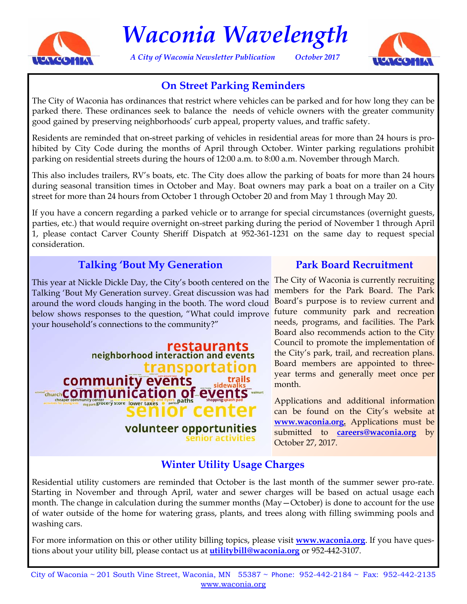

*Waconia Wavelength* 

*A City of Waconia Newsletter Publication October 2017* 



### **On Street Parking Reminders**

The City of Waconia has ordinances that restrict where vehicles can be parked and for how long they can be parked there. These ordinances seek to balance the needs of vehicle owners with the greater community good gained by preserving neighborhoods' curb appeal, property values, and traffic safety.

Residents are reminded that on-street parking of vehicles in residential areas for more than 24 hours is prohibited by City Code during the months of April through October. Winter parking regulations prohibit parking on residential streets during the hours of 12:00 a.m. to 8:00 a.m. November through March.

This also includes trailers, RV's boats, etc. The City does allow the parking of boats for more than 24 hours during seasonal transition times in October and May. Boat owners may park a boat on a trailer on a City street for more than 24 hours from October 1 through October 20 and from May 1 through May 20.

If you have a concern regarding a parked vehicle or to arrange for special circumstances (overnight guests, parties, etc.) that would require overnight on-street parking during the period of November 1 through April 1, please contact Carver County Sheriff Dispatch at 952-361-1231 on the same day to request special consideration.

#### **Talking 'Bout My Generation**

This year at Nickle Dickle Day, the City's booth centered on the Talking 'Bout My Generation survey. Great discussion was had around the word clouds hanging in the booth. The word cloud below shows responses to the question, "What could improve your household's connections to the community?"



### **Park Board Recruitment**

The City of Waconia is currently recruiting members for the Park Board. The Park Board's purpose is to review current and future community park and recreation needs, programs, and facilities. The Park Board also recommends action to the City Council to promote the implementation of the City's park, trail, and recreation plans. Board members are appointed to threeyear terms and generally meet once per month.

Applications and additional information can be found on the City's website at **www.waconia.org.** Applications must be submitted to **careers@waconia.org** by October 27, 2017.

## **Winter Utility Usage Charges**

Residential utility customers are reminded that October is the last month of the summer sewer pro-rate. Starting in November and through April, water and sewer charges will be based on actual usage each month. The change in calculation during the summer months (May—October) is done to account for the use of water outside of the home for watering grass, plants, and trees along with filling swimming pools and washing cars.

For more information on this or other utility billing topics, please visit **www.waconia.org**. If you have questions about your utility bill, please contact us at **utilitybill@waconia.org** or 952-442-3107.